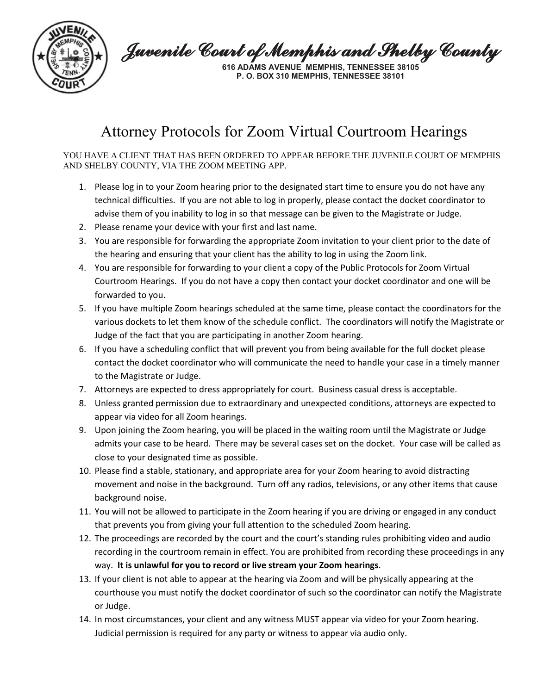

Juvenile Court of Memphis and Shelby County

**616 ADAMS AVENUE MEMPHIS, TENNESSEE 38105 P. O. BOX 310 MEMPHIS, TENNESSEE 38101**

## Attorney Protocols for Zoom Virtual Courtroom Hearings

YOU HAVE A CLIENT THAT HAS BEEN ORDERED TO APPEAR BEFORE THE JUVENILE COURT OF MEMPHIS AND SHELBY COUNTY, VIA THE ZOOM MEETING APP.

- 1. Please log in to your Zoom hearing prior to the designated start time to ensure you do not have any technical difficulties. If you are not able to log in properly, please contact the docket coordinator to advise them of you inability to log in so that message can be given to the Magistrate or Judge.
- 2. Please rename your device with your first and last name.
- 3. You are responsible for forwarding the appropriate Zoom invitation to your client prior to the date of the hearing and ensuring that your client has the ability to log in using the Zoom link.
- 4. You are responsible for forwarding to your client a copy of the Public Protocols for Zoom Virtual Courtroom Hearings. If you do not have a copy then contact your docket coordinator and one will be forwarded to you.
- 5. If you have multiple Zoom hearings scheduled at the same time, please contact the coordinators for the various dockets to let them know of the schedule conflict. The coordinators will notify the Magistrate or Judge of the fact that you are participating in another Zoom hearing.
- 6. If you have a scheduling conflict that will prevent you from being available for the full docket please contact the docket coordinator who will communicate the need to handle your case in a timely manner to the Magistrate or Judge.
- 7. Attorneys are expected to dress appropriately for court. Business casual dress is acceptable.
- 8. Unless granted permission due to extraordinary and unexpected conditions, attorneys are expected to appear via video for all Zoom hearings.
- 9. Upon joining the Zoom hearing, you will be placed in the waiting room until the Magistrate or Judge admits your case to be heard. There may be several cases set on the docket. Your case will be called as close to your designated time as possible.
- 10. Please find a stable, stationary, and appropriate area for your Zoom hearing to avoid distracting movement and noise in the background. Turn off any radios, televisions, or any other items that cause background noise.
- 11. You will not be allowed to participate in the Zoom hearing if you are driving or engaged in any conduct that prevents you from giving your full attention to the scheduled Zoom hearing.
- 12. The proceedings are recorded by the court and the court's standing rules prohibiting video and audio recording in the courtroom remain in effect. You are prohibited from recording these proceedings in any way. **It is unlawful for you to record or live stream your Zoom hearings**.
- 13. If your client is not able to appear at the hearing via Zoom and will be physically appearing at the courthouse you must notify the docket coordinator of such so the coordinator can notify the Magistrate or Judge.
- 14. In most circumstances, your client and any witness MUST appear via video for your Zoom hearing. Judicial permission is required for any party or witness to appear via audio only.